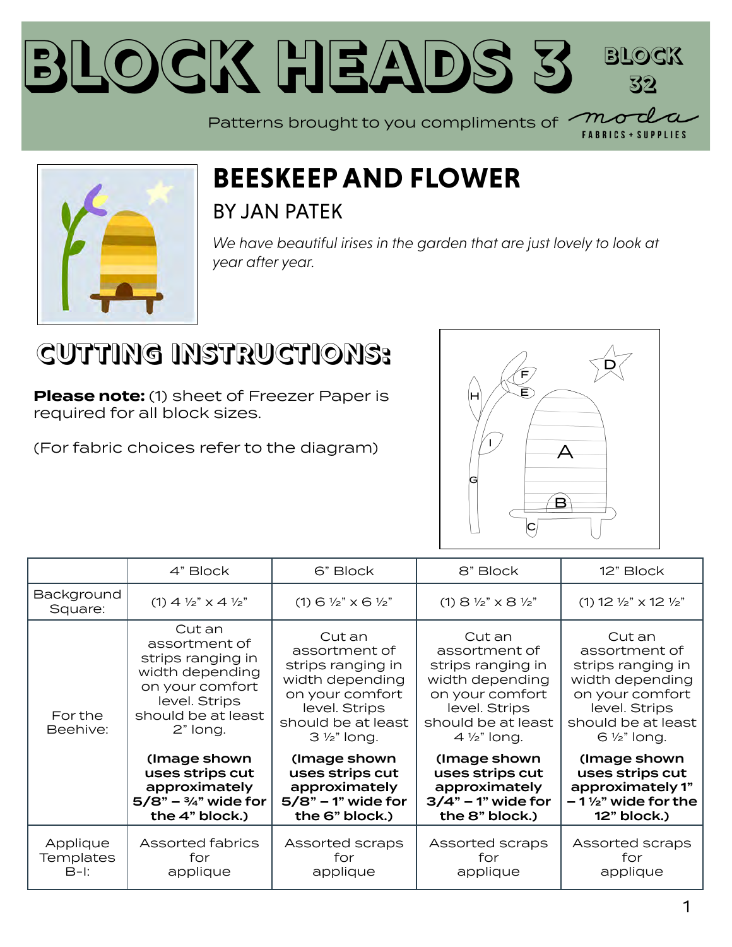



#### **BEESKEEP AND FLOWER** BY [JAN PATEK](https://modafabrics.com/designers/jan-patek)

*We have beautiful irises in the garden that are just lovely to look at year after year.*

#### **CUTTING INSTRUCTIONS:**

**Please note:** (1) sheet of Freezer Paper is required for all block sizes.

(For fabric choices refer to the diagram)



|                                        | 4" Block                                                                                                                              | 6" Block                                                                                                                                            | 8" Block                                                                                                                                            | 12" Block                                                                                                                                           |
|----------------------------------------|---------------------------------------------------------------------------------------------------------------------------------------|-----------------------------------------------------------------------------------------------------------------------------------------------------|-----------------------------------------------------------------------------------------------------------------------------------------------------|-----------------------------------------------------------------------------------------------------------------------------------------------------|
| Background<br>Square:                  | $(1)$ 4 $\frac{1}{2}$ " x 4 $\frac{1}{2}$ "                                                                                           | $(1)$ 6 $\frac{1}{2}$ $\times$ 6 $\frac{1}{2}$                                                                                                      | $(1)$ 8 $\frac{1}{2}$ " x 8 $\frac{1}{2}$ "                                                                                                         | $(1)$ 12 $\frac{1}{2}$ " x 12 $\frac{1}{2}$ "                                                                                                       |
| For the<br>Beehive:                    | Cut an<br>assortment of<br>strips ranging in<br>width depending<br>on your comfort<br>level. Strips<br>should be at least<br>2" long. | Cut an<br>assortment of<br>strips ranging in<br>width depending<br>on your comfort<br>level. Strips<br>should be at least<br>$3\frac{1}{2}$ " long. | Cut an<br>assortment of<br>strips ranging in<br>width depending<br>on your comfort<br>level. Strips<br>should be at least<br>$4\frac{1}{2}$ " long. | Cut an<br>assortment of<br>strips ranging in<br>width depending<br>on your comfort<br>level. Strips<br>should be at least<br>$6\frac{1}{2}$ " long. |
|                                        | (Image shown)<br>uses strips cut<br>approximately<br>$5/8" - \frac{3}{4}"$ wide for<br>the 4" block.)                                 | (Image shown)<br>uses strips cut<br>approximately<br>$5/8"$ – 1" wide for<br>the 6" block.)                                                         | (Image shown<br>uses strips cut<br>approximately<br>$3/4"$ – 1" wide for<br>the 8" block.)                                                          | (Image shown)<br>uses strips cut<br>approximately 1"<br>$-1\frac{1}{2}$ " wide for the<br>12" block.)                                               |
| Applique<br><b>Templates</b><br>$B-I:$ | <b>Assorted fabrics</b><br>for<br>applique                                                                                            | Assorted scraps<br>for<br>applique                                                                                                                  | Assorted scraps<br>for<br>applique                                                                                                                  | Assorted scraps<br>for<br>applique                                                                                                                  |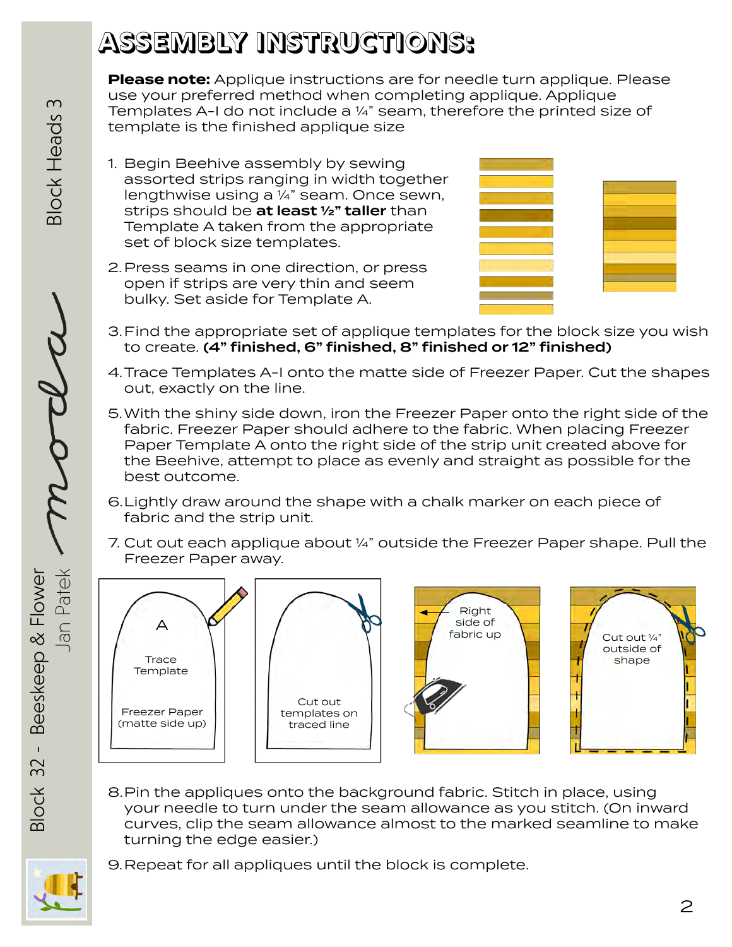#### **ASSEMBLY INSTRUCTIONS:**

**Please note:** Applique instructions are for needle turn applique. Please use your preferred method when completing applique. Applique Templates A-I do not include a ¼" seam, therefore the printed size of template is the finished applique size

- 1. Begin Beehive assembly by sewing assorted strips ranging in width together lengthwise using a ¼" seam. Once sewn, strips should be at least 1/2" taller than Template A taken from the appropriate set of block size templates.
- 2. Press seams in one direction, or press open if strips are very thin and seem bulky. Set aside for Template A.



- 3. Find the appropriate set of applique templates for the block size you wish to create. (4" finished, 6" finished, 8" finished or 12" finished)
- 4.Trace Templates A-I onto the matte side of Freezer Paper. Cut the shapes out, exactly on the line.
- 5.With the shiny side down, iron the Freezer Paper onto the right side of the fabric. Freezer Paper should adhere to the fabric. When placing Freezer Paper Template A onto the right side of the strip unit created above for the Beehive, attempt to place as evenly and straight as possible for the best outcome.
- 6.Lightly draw around the shape with a chalk marker on each piece of fabric and the strip unit.
- 7. Cut out each applique about ¼" outside the Freezer Paper shape. Pull the Freezer Paper away.









8.Pin the appliques onto the background fabric. Stitch in place, using your needle to turn under the seam allowance as you stitch. (On inward curves, clip the seam allowance almost to the marked seamline to make turning the edge easier.)



Block 32 - Beeskeep & Flower

 $\mathbf{L}$  $32$ 

**Block** 

Beeskeep & Flower

Jan Patek

9.Repeat for all appliques until the block is complete.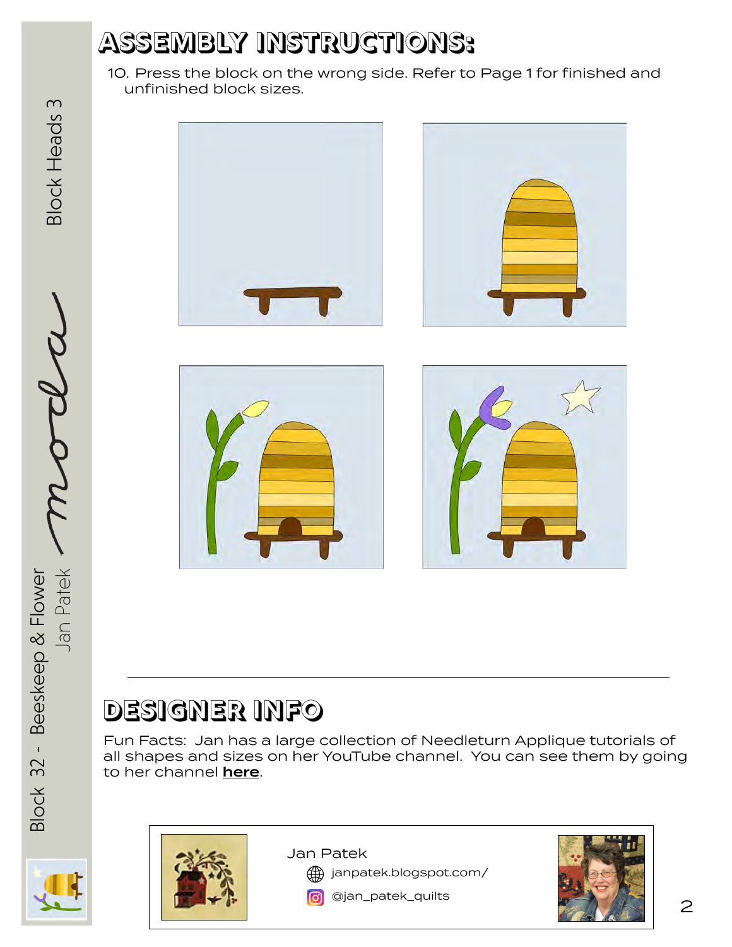#### **ASSEMBLY INSTRUCTIONS:**

10. Press the block on the wrong side. Refer to Page 1 for finished and unfinished block sizes.









#### **DESIGNER INFO**

Fun Facts: Jan has a large collection of Needleturn Applique tutorials of all shapes and sizes on her YouTube channel. You can see them by going to her channel [here](https://www.youtube.com/user/JanPatekQuilts).



Block 32 - Beeskeep & Flower

**Block 32 -**

Beeskeep & Flower

Jan Patek

Jan Patek  $\mathcal{M}$ CLCCC Block Heads 3

**Block Heads 3** 



Jan Patek

[janpatek.blogspot.com/](http://janpatek.blogspot.com/)



**o** [@jan\\_patek\\_quilts](http://www.instagram.com/jan_patek_quilts)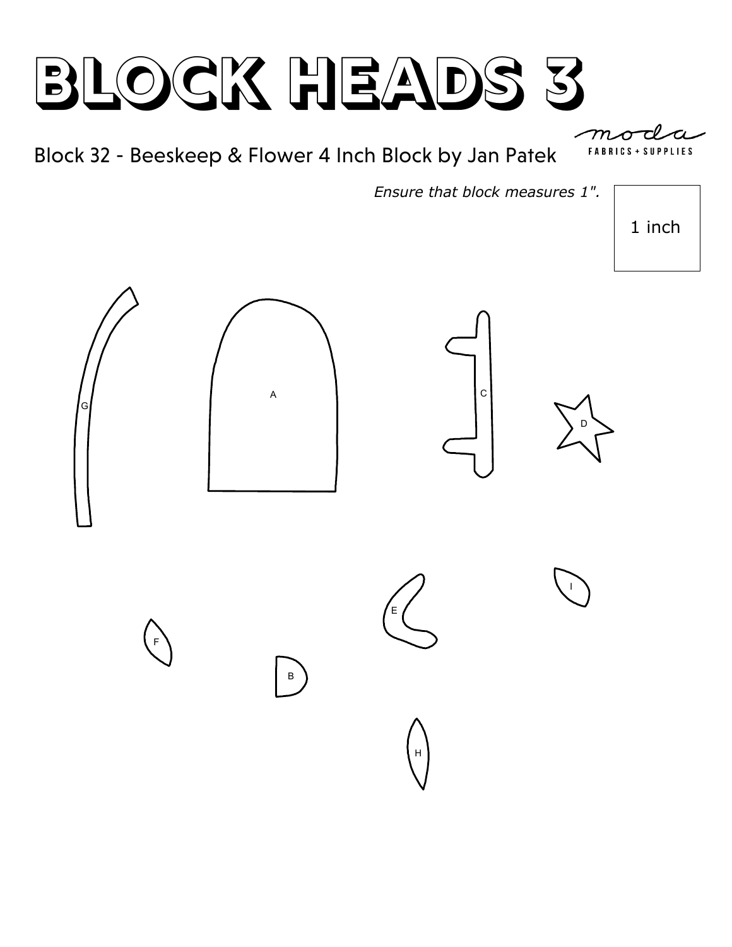Block 32 - Beeskeep & Flower 4 Inch Block by Jan Patek

*Ensure that block measures 1".*

1 inch



**FABRICS + SUPPLIES**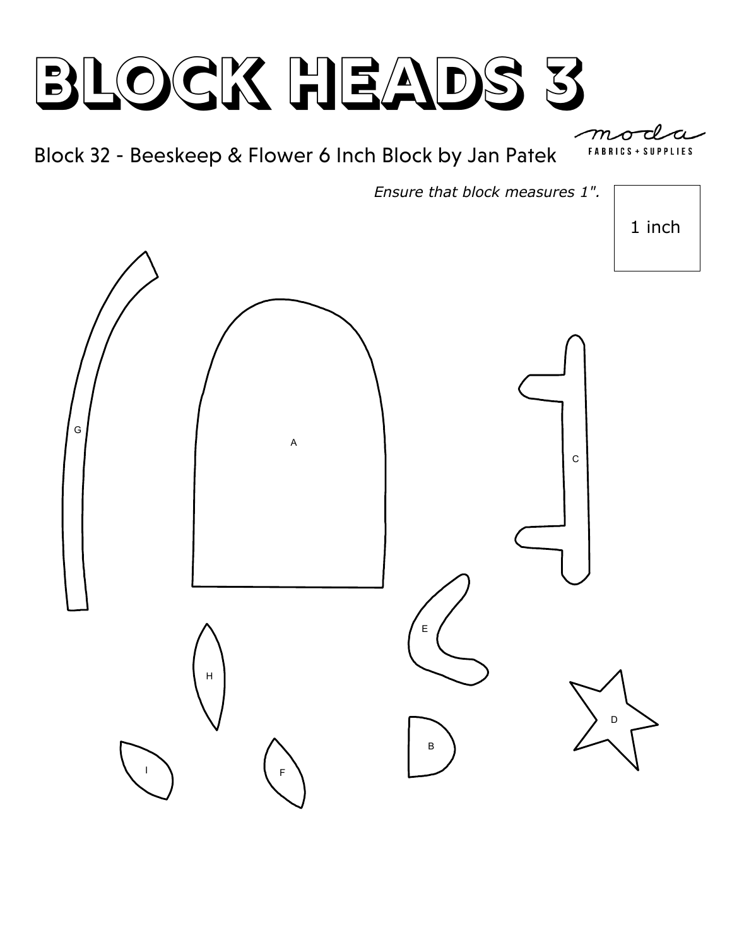

*Ensure that block measures 1".*

1 inch

**SUPPLIES** 

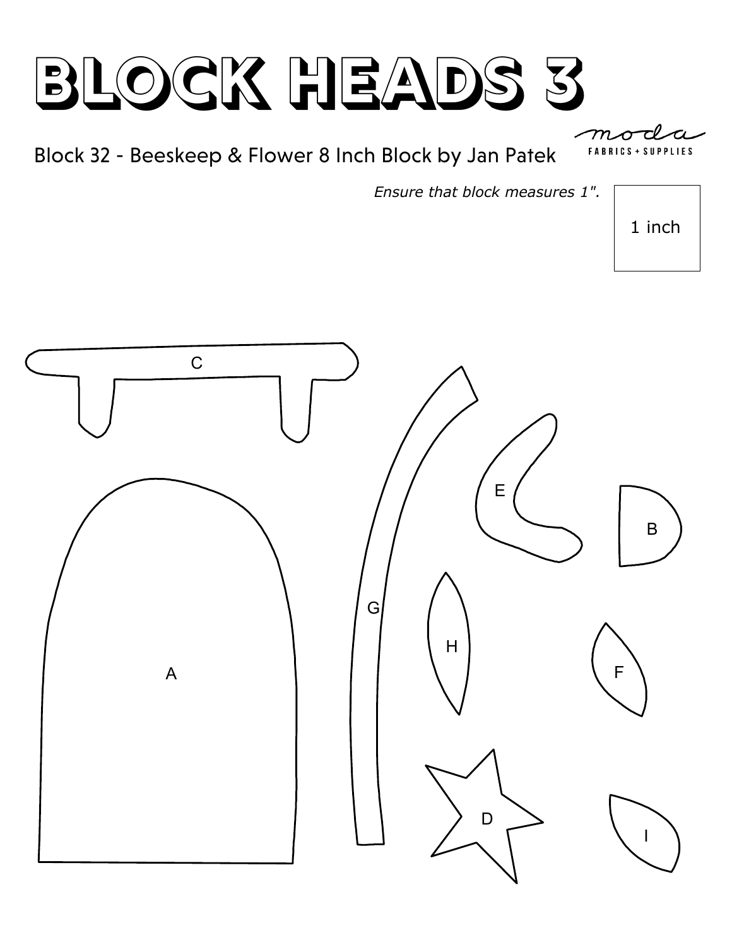Block 32 - Beeskeep & Flower 8 Inch Block by Jan Patek

*Ensure that block measures 1".*

1 inch

**SUPPLIES** 

**FABRICS** 

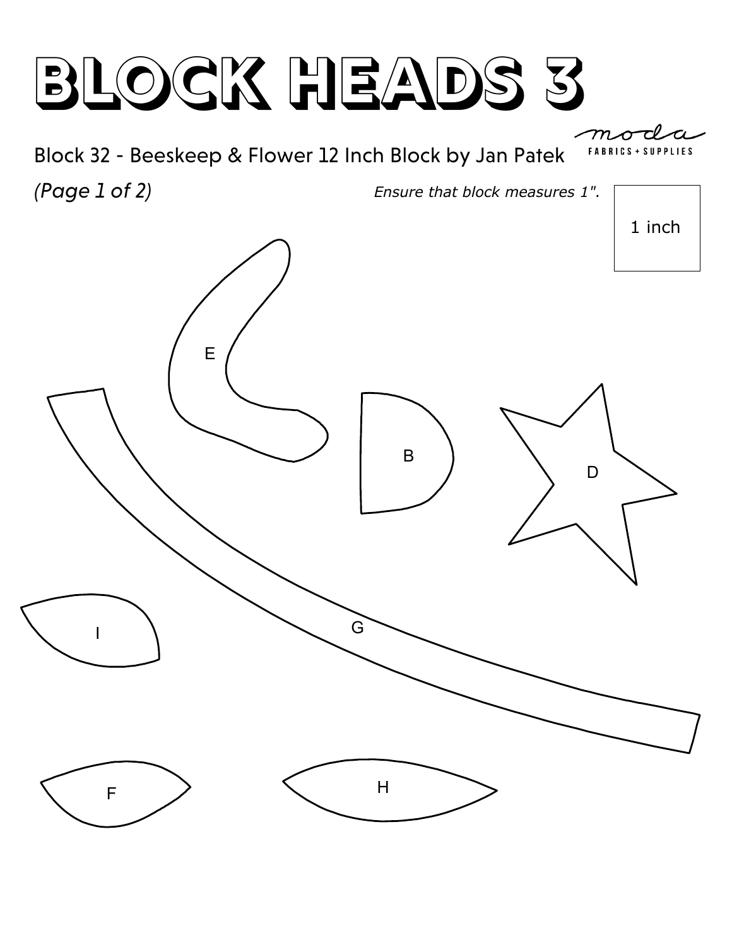

*(Page 1 of 2)*



1 inch